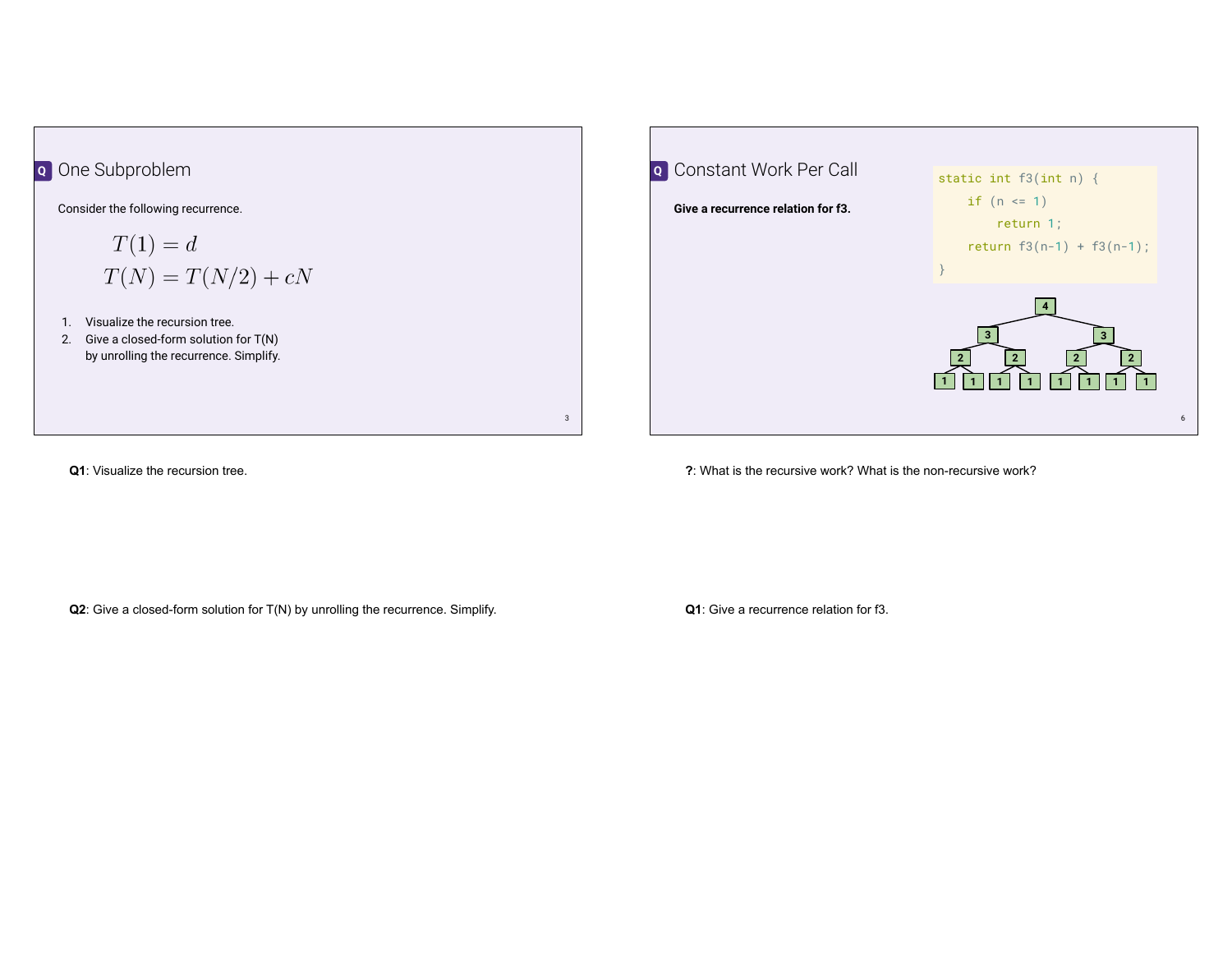

| <b>Q</b> Constant Work Per Call    | static int $f3(int n)$ {                                               |
|------------------------------------|------------------------------------------------------------------------|
| Give a recurrence relation for f3. | if $(n \le 1)$                                                         |
|                                    | return 1;                                                              |
|                                    | return $f3(n-1) + f3(n-1)$ ;                                           |
|                                    |                                                                        |
|                                    | з<br>$\mathbf{2}$<br>$\mathbf{2}$<br>$\mathbf{2}$<br>$\mathbf{2}$<br>6 |
|                                    |                                                                        |

**Q1**: Visualize the recursion tree.

**?**: What is the recursive work? What is the non-recursive work?

**Q2**: Give a closed-form solution for T(N) by unrolling the recurrence. Simplify.

**Q1**: Give a recurrence relation for f3.

3